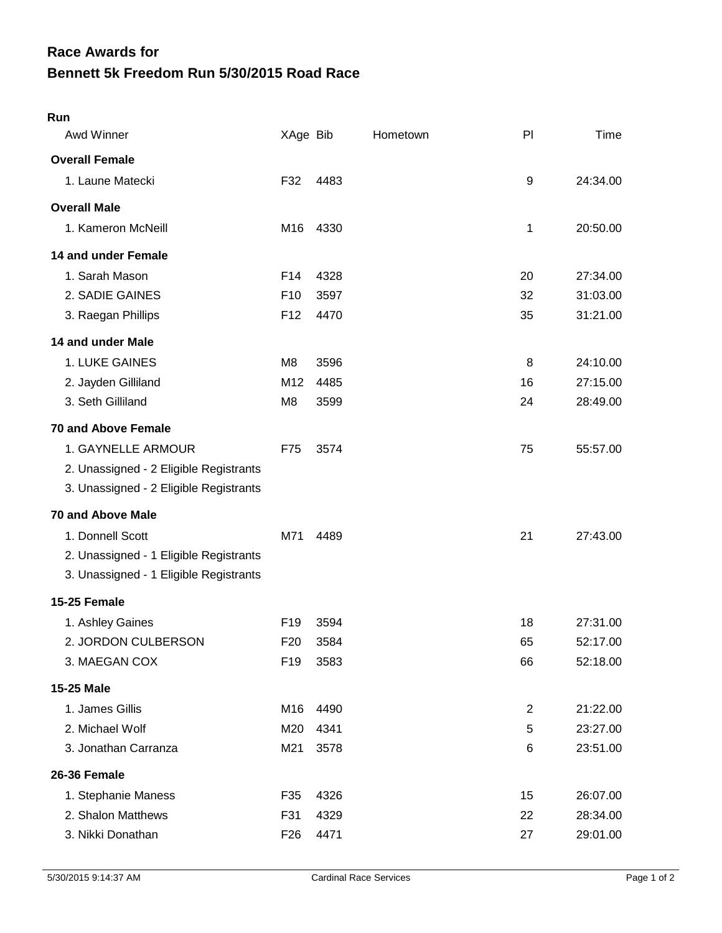## **Bennett 5k Freedom Run 5/30/2015 Road Race Race Awards for**

| Run                                    |                 |      |          |                |          |
|----------------------------------------|-----------------|------|----------|----------------|----------|
| Awd Winner                             | XAge Bib        |      | Hometown | PI             | Time     |
| <b>Overall Female</b>                  |                 |      |          |                |          |
| 1. Laune Matecki                       | F32             | 4483 |          | 9              | 24:34.00 |
| <b>Overall Male</b>                    |                 |      |          |                |          |
| 1. Kameron McNeill                     | M16             | 4330 |          | 1              | 20:50.00 |
| 14 and under Female                    |                 |      |          |                |          |
| 1. Sarah Mason                         | F14             | 4328 |          | 20             | 27:34.00 |
| 2. SADIE GAINES                        | F <sub>10</sub> | 3597 |          | 32             | 31:03.00 |
| 3. Raegan Phillips                     | F <sub>12</sub> | 4470 |          | 35             | 31:21.00 |
| 14 and under Male                      |                 |      |          |                |          |
| 1. LUKE GAINES                         | M8              | 3596 |          | 8              | 24:10.00 |
| 2. Jayden Gilliland                    | M12             | 4485 |          | 16             | 27:15.00 |
| 3. Seth Gilliland                      | M <sub>8</sub>  | 3599 |          | 24             | 28:49.00 |
| <b>70 and Above Female</b>             |                 |      |          |                |          |
| 1. GAYNELLE ARMOUR                     | F75             | 3574 |          | 75             | 55:57.00 |
| 2. Unassigned - 2 Eligible Registrants |                 |      |          |                |          |
| 3. Unassigned - 2 Eligible Registrants |                 |      |          |                |          |
| <b>70 and Above Male</b>               |                 |      |          |                |          |
| 1. Donnell Scott                       | M71             | 4489 |          | 21             | 27:43.00 |
| 2. Unassigned - 1 Eligible Registrants |                 |      |          |                |          |
| 3. Unassigned - 1 Eligible Registrants |                 |      |          |                |          |
| 15-25 Female                           |                 |      |          |                |          |
| 1. Ashley Gaines                       | F <sub>19</sub> | 3594 |          | 18             | 27:31.00 |
| 2. JORDON CULBERSON                    | F <sub>20</sub> | 3584 |          | 65             | 52:17.00 |
| 3. MAEGAN COX                          | F <sub>19</sub> | 3583 |          | 66             | 52:18.00 |
| 15-25 Male                             |                 |      |          |                |          |
| 1. James Gillis                        | M16             | 4490 |          | $\overline{2}$ | 21:22.00 |
| 2. Michael Wolf                        | M20             | 4341 |          | 5              | 23:27.00 |
| 3. Jonathan Carranza                   | M21             | 3578 |          | 6              | 23:51.00 |
| 26-36 Female                           |                 |      |          |                |          |
| 1. Stephanie Maness                    | F35             | 4326 |          | 15             | 26:07.00 |
| 2. Shalon Matthews                     | F31             | 4329 |          | 22             | 28:34.00 |
| 3. Nikki Donathan                      | F <sub>26</sub> | 4471 |          | 27             | 29:01.00 |